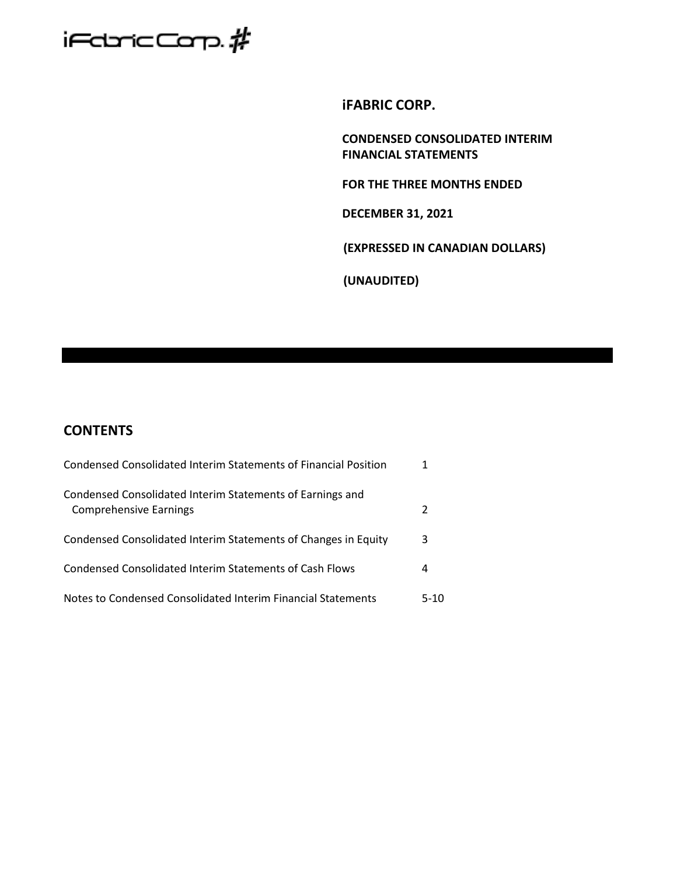

**iFABRIC CORP.**

**CONDENSED CONSOLIDATED INTERIM FINANCIAL STATEMENTS**

**FOR THE THREE MONTHS ENDED** 

**DECEMBER 31, 2021**

**(EXPRESSED IN CANADIAN DOLLARS)**

**(UNAUDITED)**

# **CONTENTS**

| Condensed Consolidated Interim Statements of Financial Position                            | 1    |
|--------------------------------------------------------------------------------------------|------|
| Condensed Consolidated Interim Statements of Earnings and<br><b>Comprehensive Earnings</b> | 2    |
| Condensed Consolidated Interim Statements of Changes in Equity                             | 3    |
| Condensed Consolidated Interim Statements of Cash Flows                                    | 4    |
| Notes to Condensed Consolidated Interim Financial Statements                               | 5-10 |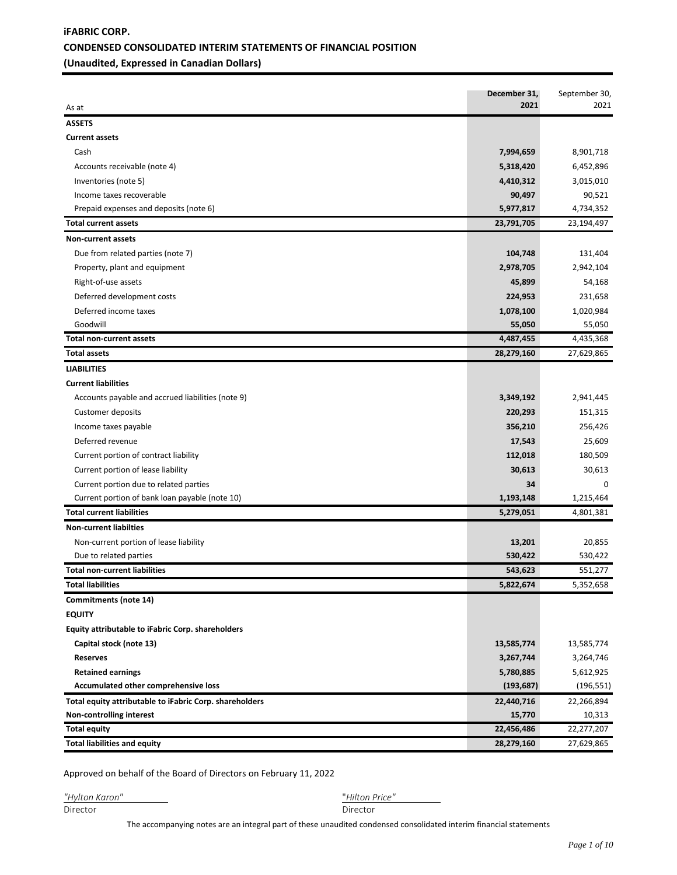## **iFABRIC CORP. CONDENSED CONSOLIDATED INTERIM STATEMENTS OF FINANCIAL POSITION (Unaudited, Expressed in Canadian Dollars)**

| As at                                                   | December 31,<br>2021 | September 30,<br>2021 |
|---------------------------------------------------------|----------------------|-----------------------|
| <b>ASSETS</b>                                           |                      |                       |
| <b>Current assets</b>                                   |                      |                       |
| Cash                                                    | 7,994,659            | 8,901,718             |
| Accounts receivable (note 4)                            | 5,318,420            | 6,452,896             |
| Inventories (note 5)                                    | 4,410,312            | 3,015,010             |
| Income taxes recoverable                                | 90,497               | 90,521                |
| Prepaid expenses and deposits (note 6)                  | 5,977,817            | 4,734,352             |
| <b>Total current assets</b>                             | 23,791,705           | 23,194,497            |
| <b>Non-current assets</b>                               |                      |                       |
| Due from related parties (note 7)                       | 104,748              | 131,404               |
| Property, plant and equipment                           | 2,978,705            | 2,942,104             |
| Right-of-use assets                                     | 45,899               | 54,168                |
| Deferred development costs                              | 224,953              | 231,658               |
| Deferred income taxes                                   | 1,078,100            | 1,020,984             |
| Goodwill                                                | 55,050               | 55,050                |
| <b>Total non-current assets</b>                         | 4,487,455            | 4,435,368             |
| <b>Total assets</b>                                     | 28,279,160           | 27,629,865            |
| <b>LIABILITIES</b>                                      |                      |                       |
| <b>Current liabilities</b>                              |                      |                       |
| Accounts payable and accrued liabilities (note 9)       | 3,349,192            | 2,941,445             |
| Customer deposits                                       | 220,293              | 151,315               |
| Income taxes payable                                    | 356,210              | 256,426               |
| Deferred revenue                                        | 17,543               | 25,609                |
| Current portion of contract liability                   | 112,018              | 180,509               |
| Current portion of lease liability                      | 30,613               | 30,613                |
| Current portion due to related parties                  | 34                   | $\Omega$              |
| Current portion of bank loan payable (note 10)          | 1,193,148            | 1,215,464             |
| <b>Total current liabilities</b>                        | 5,279,051            | 4,801,381             |
| <b>Non-current liabilties</b>                           |                      |                       |
| Non-current portion of lease liability                  | 13,201               | 20,855                |
| Due to related parties                                  | 530,422              | 530,422               |
| <b>Total non-current liabilities</b>                    | 543,623              | 551,277               |
| <b>Total liabilities</b>                                | 5,822,674            | 5,352,658             |
| Commitments (note 14)                                   |                      |                       |
| <b>EQUITY</b>                                           |                      |                       |
| Equity attributable to iFabric Corp. shareholders       |                      |                       |
| Capital stock (note 13)                                 | 13,585,774           | 13,585,774            |
| <b>Reserves</b>                                         | 3,267,744            | 3,264,746             |
| <b>Retained earnings</b>                                | 5,780,885            | 5,612,925             |
| Accumulated other comprehensive loss                    | (193, 687)           | (196, 551)            |
| Total equity attributable to iFabric Corp. shareholders | 22,440,716           | 22,266,894            |
| Non-controlling interest                                | 15,770               | 10,313                |
| <b>Total equity</b>                                     | 22,456,486           | 22,277,207            |
| <b>Total liabilities and equity</b>                     | 28,279,160           | 27,629,865            |

Approved on behalf of the Board of Directors on February 11, 2022

*"Hylton Karon"* "*Hilton Price"* 

The accompanying notes are an integral part of these unaudited condensed consolidated interim financial statements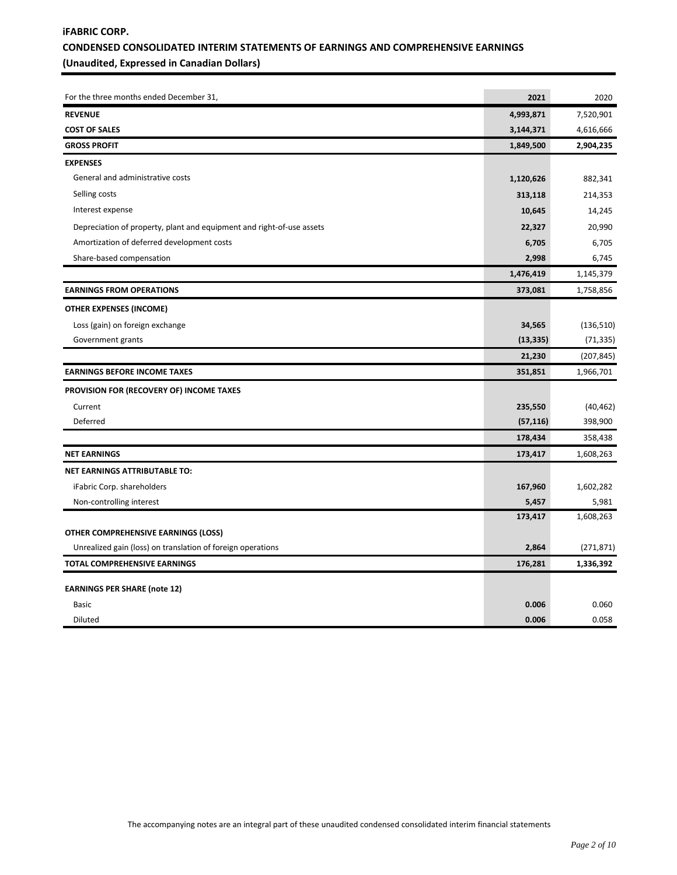## **iFABRIC CORP. CONDENSED CONSOLIDATED INTERIM STATEMENTS OF EARNINGS AND COMPREHENSIVE EARNINGS (Unaudited, Expressed in Canadian Dollars)**

| For the three months ended December 31,                               | 2021      | 2020       |
|-----------------------------------------------------------------------|-----------|------------|
| <b>REVENUE</b>                                                        | 4,993,871 | 7,520,901  |
| <b>COST OF SALES</b>                                                  | 3,144,371 | 4,616,666  |
| <b>GROSS PROFIT</b>                                                   | 1,849,500 | 2,904,235  |
| <b>EXPENSES</b>                                                       |           |            |
| General and administrative costs                                      | 1,120,626 | 882,341    |
| Selling costs                                                         | 313,118   | 214,353    |
| Interest expense                                                      | 10,645    | 14,245     |
| Depreciation of property, plant and equipment and right-of-use assets | 22,327    | 20,990     |
| Amortization of deferred development costs                            | 6,705     | 6,705      |
| Share-based compensation                                              | 2,998     | 6,745      |
|                                                                       | 1,476,419 | 1,145,379  |
| <b>EARNINGS FROM OPERATIONS</b>                                       | 373,081   | 1,758,856  |
| <b>OTHER EXPENSES (INCOME)</b>                                        |           |            |
| Loss (gain) on foreign exchange                                       | 34,565    | (136, 510) |
| Government grants                                                     | (13, 335) | (71, 335)  |
|                                                                       | 21,230    | (207, 845) |
| <b>EARNINGS BEFORE INCOME TAXES</b>                                   | 351,851   | 1,966,701  |
| PROVISION FOR (RECOVERY OF) INCOME TAXES                              |           |            |
| Current                                                               | 235,550   | (40, 462)  |
| Deferred                                                              | (57, 116) | 398,900    |
|                                                                       | 178,434   | 358,438    |
| <b>NET EARNINGS</b>                                                   | 173,417   | 1,608,263  |
| <b>NET EARNINGS ATTRIBUTABLE TO:</b>                                  |           |            |
| iFabric Corp. shareholders                                            | 167,960   | 1,602,282  |
| Non-controlling interest                                              | 5,457     | 5,981      |
|                                                                       | 173,417   | 1,608,263  |
| <b>OTHER COMPREHENSIVE EARNINGS (LOSS)</b>                            |           |            |
| Unrealized gain (loss) on translation of foreign operations           | 2,864     | (271, 871) |
| TOTAL COMPREHENSIVE EARNINGS                                          | 176,281   | 1,336,392  |
| <b>EARNINGS PER SHARE (note 12)</b>                                   |           |            |
| <b>Basic</b>                                                          | 0.006     | 0.060      |
| Diluted                                                               | 0.006     | 0.058      |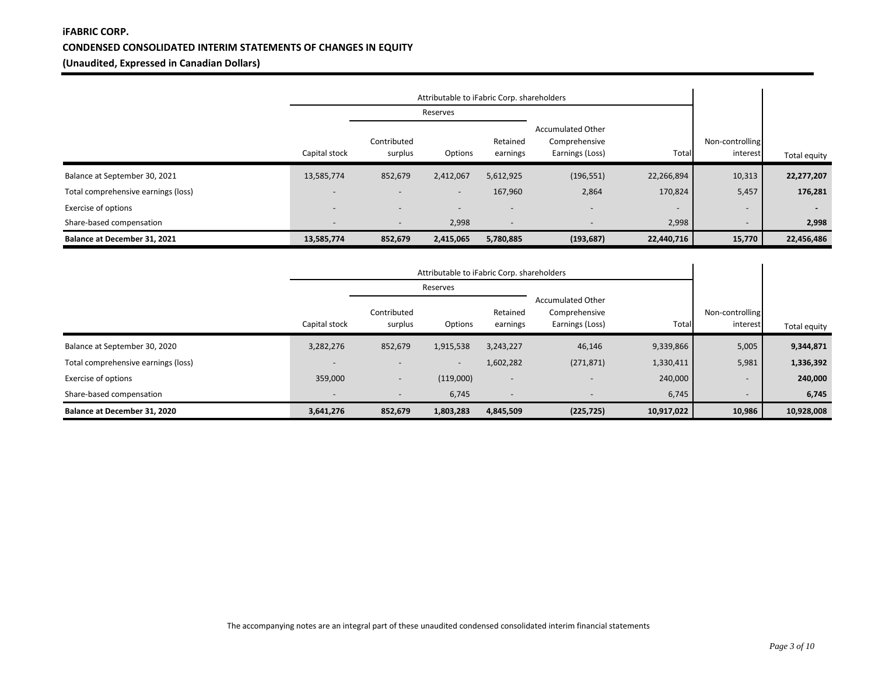## **iFABRIC CORP. CONDENSED CONSOLIDATED INTERIM STATEMENTS OF CHANGES IN EQUITY (Unaudited, Expressed in Canadian Dollars)**

|                                     | Attributable to iFabric Corp. shareholders |                          |                          |                          |                                                              |                          |                             |              |
|-------------------------------------|--------------------------------------------|--------------------------|--------------------------|--------------------------|--------------------------------------------------------------|--------------------------|-----------------------------|--------------|
|                                     |                                            |                          | Reserves                 |                          |                                                              |                          |                             |              |
|                                     | Capital stock                              | Contributed<br>surplus   | Options                  | Retained<br>earnings     | <b>Accumulated Other</b><br>Comprehensive<br>Earnings (Loss) | Total                    | Non-controlling<br>interest | Total equity |
| Balance at September 30, 2021       | 13,585,774                                 | 852,679                  | 2,412,067                | 5,612,925                | (196, 551)                                                   | 22,266,894               | 10,313                      | 22,277,207   |
| Total comprehensive earnings (loss) | $\overline{\phantom{a}}$                   | $\overline{\phantom{0}}$ | $\overline{\phantom{a}}$ | 167,960                  | 2,864                                                        | 170,824                  | 5,457                       | 176,281      |
| <b>Exercise of options</b>          | $\overline{\phantom{0}}$                   |                          | $\overline{\phantom{a}}$ |                          | $\overline{\phantom{a}}$                                     | $\overline{\phantom{0}}$ | $\overline{\phantom{a}}$    |              |
| Share-based compensation            | $\overline{\phantom{0}}$                   | $\overline{\phantom{0}}$ | 2,998                    | $\overline{\phantom{a}}$ | $\overline{\phantom{a}}$                                     | 2,998                    | $\overline{\phantom{a}}$    | 2,998        |
| Balance at December 31, 2021        | 13,585,774                                 | 852,679                  | 2,415,065                | 5,780,885                | (193, 687)                                                   | 22,440,716               | 15,770                      | 22,456,486   |

|                                     | Attributable to iFabric Corp. shareholders |                          |                          |                          |                                                              |            |                             |              |
|-------------------------------------|--------------------------------------------|--------------------------|--------------------------|--------------------------|--------------------------------------------------------------|------------|-----------------------------|--------------|
|                                     |                                            |                          | Reserves                 |                          |                                                              |            |                             |              |
|                                     | Capital stock                              | Contributed<br>surplus   | Options                  | Retained<br>earnings     | <b>Accumulated Other</b><br>Comprehensive<br>Earnings (Loss) | Total      | Non-controlling<br>interest | Total equity |
| Balance at September 30, 2020       | 3,282,276                                  | 852,679                  | 1,915,538                | 3,243,227                | 46,146                                                       | 9,339,866  | 5,005                       | 9,344,871    |
| Total comprehensive earnings (loss) | $\overline{\phantom{a}}$                   |                          | $\overline{\phantom{a}}$ | 1,602,282                | (271, 871)                                                   | 1,330,411  | 5,981                       | 1,336,392    |
| <b>Exercise of options</b>          | 359,000                                    | $\overline{\phantom{0}}$ | (119,000)                | $\overline{\phantom{a}}$ | $\overline{\phantom{a}}$                                     | 240,000    | $\overline{\phantom{a}}$    | 240,000      |
| Share-based compensation            | $\overline{\phantom{a}}$                   | $\overline{\phantom{a}}$ | 6,745                    | $\overline{\phantom{a}}$ | $\overline{\phantom{a}}$                                     | 6,745      | $\overline{\phantom{a}}$    | 6,745        |
| Balance at December 31, 2020        | 3,641,276                                  | 852,679                  | 1,803,283                | 4,845,509                | (225, 725)                                                   | 10,917,022 | 10,986                      | 10,928,008   |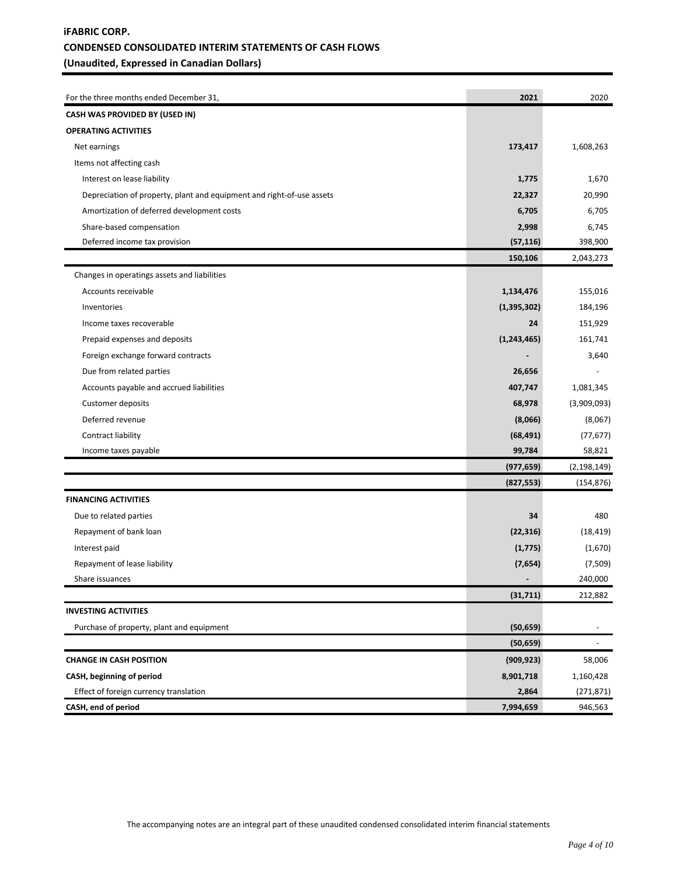## **iFABRIC CORP. CONDENSED CONSOLIDATED INTERIM STATEMENTS OF CASH FLOWS (Unaudited, Expressed in Canadian Dollars)**

| For the three months ended December 31,                               | 2021          | 2020          |
|-----------------------------------------------------------------------|---------------|---------------|
| CASH WAS PROVIDED BY (USED IN)                                        |               |               |
| <b>OPERATING ACTIVITIES</b>                                           |               |               |
| Net earnings                                                          | 173,417       | 1,608,263     |
| Items not affecting cash                                              |               |               |
| Interest on lease liability                                           | 1,775         | 1,670         |
| Depreciation of property, plant and equipment and right-of-use assets | 22,327        | 20,990        |
| Amortization of deferred development costs                            | 6,705         | 6,705         |
| Share-based compensation                                              | 2,998         | 6,745         |
| Deferred income tax provision                                         | (57, 116)     | 398,900       |
|                                                                       | 150,106       | 2,043,273     |
| Changes in operatings assets and liabilities                          |               |               |
| Accounts receivable                                                   | 1,134,476     | 155,016       |
| Inventories                                                           | (1, 395, 302) | 184,196       |
| Income taxes recoverable                                              | 24            | 151,929       |
| Prepaid expenses and deposits                                         | (1, 243, 465) | 161,741       |
| Foreign exchange forward contracts                                    |               | 3,640         |
| Due from related parties                                              | 26,656        |               |
| Accounts payable and accrued liabilities                              | 407,747       | 1,081,345     |
| Customer deposits                                                     | 68,978        | (3,909,093)   |
| Deferred revenue                                                      | (8,066)       | (8,067)       |
| Contract liability                                                    | (68, 491)     | (77, 677)     |
| Income taxes payable                                                  | 99,784        | 58,821        |
|                                                                       | (977, 659)    | (2, 198, 149) |
|                                                                       | (827, 553)    | (154, 876)    |
| <b>FINANCING ACTIVITIES</b>                                           |               |               |
| Due to related parties                                                | 34            | 480           |
| Repayment of bank loan                                                | (22, 316)     | (18, 419)     |
| Interest paid                                                         | (1,775)       | (1,670)       |
| Repayment of lease liability                                          | (7,654)       | (7,509)       |
| Share issuances                                                       | -             | 240,000       |
|                                                                       | (31, 711)     | 212,882       |
| <b>INVESTING ACTIVITIES</b>                                           |               |               |
| Purchase of property, plant and equipment                             | (50, 659)     |               |
|                                                                       | (50, 659)     |               |
| <b>CHANGE IN CASH POSITION</b>                                        | (909, 923)    | 58,006        |
| CASH, beginning of period                                             | 8,901,718     | 1,160,428     |
| Effect of foreign currency translation                                | 2,864         | (271, 871)    |
| CASH, end of period                                                   | 7,994,659     | 946,563       |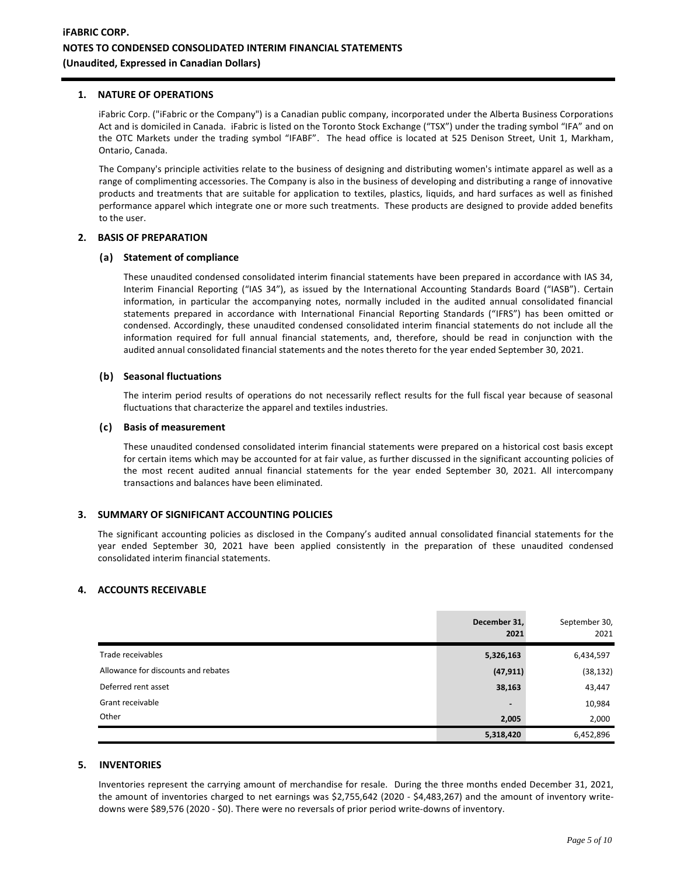#### **1. NATURE OF OPERATIONS**

iFabric Corp. ("iFabric or the Company") is a Canadian public company, incorporated under the Alberta Business Corporations Act and is domiciled in Canada. iFabric is listed on the Toronto Stock Exchange ("TSX") under the trading symbol "IFA" and on the OTC Markets under the trading symbol "IFABF". The head office is located at 525 Denison Street, Unit 1, Markham, Ontario, Canada.

The Company's principle activities relate to the business of designing and distributing women's intimate apparel as well as a range of complimenting accessories. The Company is also in the business of developing and distributing a range of innovative products and treatments that are suitable for application to textiles, plastics, liquids, and hard surfaces as well as finished performance apparel which integrate one or more such treatments. These products are designed to provide added benefits to the user.

#### **2. BASIS OF PREPARATION**

#### **(a) Statement of compliance**

These unaudited condensed consolidated interim financial statements have been prepared in accordance with IAS 34, Interim Financial Reporting ("IAS 34"), as issued by the International Accounting Standards Board ("IASB"). Certain information, in particular the accompanying notes, normally included in the audited annual consolidated financial statements prepared in accordance with International Financial Reporting Standards ("IFRS") has been omitted or condensed. Accordingly, these unaudited condensed consolidated interim financial statements do not include all the information required for full annual financial statements, and, therefore, should be read in conjunction with the audited annual consolidated financial statements and the notes thereto for the year ended September 30, 2021.

#### **(b) Seasonal fluctuations**

The interim period results of operations do not necessarily reflect results for the full fiscal year because of seasonal fluctuations that characterize the apparel and textiles industries.

#### **(c) Basis of measurement**

These unaudited condensed consolidated interim financial statements were prepared on a historical cost basis except for certain items which may be accounted for at fair value, as further discussed in the significant accounting policies of the most recent audited annual financial statements for the year ended September 30, 2021. All intercompany transactions and balances have been eliminated.

## **3. SUMMARY OF SIGNIFICANT ACCOUNTING POLICIES**

The significant accounting policies as disclosed in the Company's audited annual consolidated financial statements for the year ended September 30, 2021 have been applied consistently in the preparation of these unaudited condensed consolidated interim financial statements.

#### **4. ACCOUNTS RECEIVABLE**

|                                     | December 31,<br>2021 | September 30,<br>2021 |
|-------------------------------------|----------------------|-----------------------|
| Trade receivables                   | 5,326,163            | 6,434,597             |
| Allowance for discounts and rebates | (47, 911)            | (38, 132)             |
| Deferred rent asset                 | 38,163               | 43,447                |
| Grant receivable                    | $\qquad \qquad$      | 10,984                |
| Other                               | 2,005                | 2,000                 |
|                                     | 5,318,420            | 6,452,896             |

#### **5. INVENTORIES**

Inventories represent the carrying amount of merchandise for resale. During the three months ended December 31, 2021, the amount of inventories charged to net earnings was \$2,755,642 (2020 - \$4,483,267) and the amount of inventory writedowns were \$89,576 (2020 - \$0). There were no reversals of prior period write-downs of inventory.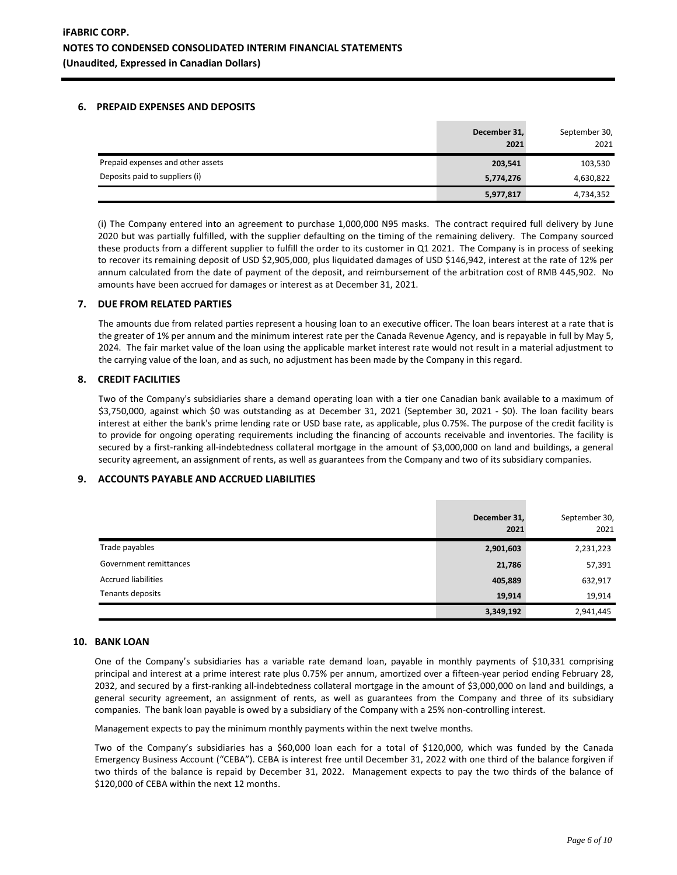### **6. PREPAID EXPENSES AND DEPOSITS**

|                                   | December 31,<br>2021 | September 30,<br>2021 |
|-----------------------------------|----------------------|-----------------------|
| Prepaid expenses and other assets | 203,541              | 103,530               |
| Deposits paid to suppliers (i)    | 5,774,276            | 4,630,822             |
|                                   | 5,977,817            | 4,734,352             |

(i) The Company entered into an agreement to purchase 1,000,000 N95 masks. The contract required full delivery by June 2020 but was partially fulfilled, with the supplier defaulting on the timing of the remaining delivery. The Company sourced these products from a different supplier to fulfill the order to its customer in Q1 2021. The Company is in process of seeking to recover its remaining deposit of USD \$2,905,000, plus liquidated damages of USD \$146,942, interest at the rate of 12% per annum calculated from the date of payment of the deposit, and reimbursement of the arbitration cost of RMB 445,902. No amounts have been accrued for damages or interest as at December 31, 2021.

## **7. DUE FROM RELATED PARTIES**

The amounts due from related parties represent a housing loan to an executive officer. The loan bears interest at a rate that is the greater of 1% per annum and the minimum interest rate per the Canada Revenue Agency, and is repayable in full by May 5, 2024. The fair market value of the loan using the applicable market interest rate would not result in a material adjustment to the carrying value of the loan, and as such, no adjustment has been made by the Company in this regard.

## **8. CREDIT FACILITIES**

Two of the Company's subsidiaries share a demand operating loan with a tier one Canadian bank available to a maximum of \$3,750,000, against which \$0 was outstanding as at December 31, 2021 (September 30, 2021 - \$0). The loan facility bears interest at either the bank's prime lending rate or USD base rate, as applicable, plus 0.75%. The purpose of the credit facility is to provide for ongoing operating requirements including the financing of accounts receivable and inventories. The facility is secured by a first-ranking all-indebtedness collateral mortgage in the amount of \$3,000,000 on land and buildings, a general security agreement, an assignment of rents, as well as guarantees from the Company and two of its subsidiary companies.

## **9. ACCOUNTS PAYABLE AND ACCRUED LIABILITIES**

|                            | December 31,<br>2021 | September 30,<br>2021 |
|----------------------------|----------------------|-----------------------|
| Trade payables             | 2,901,603            | 2,231,223             |
| Government remittances     | 21,786               | 57,391                |
| <b>Accrued liabilities</b> | 405,889              | 632,917               |
| Tenants deposits           | 19,914               | 19,914                |
|                            | 3,349,192            | 2,941,445             |

#### **10. BANK LOAN**

One of the Company's subsidiaries has a variable rate demand loan, payable in monthly payments of \$10,331 comprising principal and interest at a prime interest rate plus 0.75% per annum, amortized over a fifteen-year period ending February 28, 2032, and secured by a first-ranking all-indebtedness collateral mortgage in the amount of \$3,000,000 on land and buildings, a general security agreement, an assignment of rents, as well as guarantees from the Company and three of its subsidiary companies. The bank loan payable is owed by a subsidiary of the Company with a 25% non-controlling interest.

Management expects to pay the minimum monthly payments within the next twelve months.

Two of the Company's subsidiaries has a \$60,000 loan each for a total of \$120,000, which was funded by the Canada Emergency Business Account ("CEBA"). CEBA is interest free until December 31, 2022 with one third of the balance forgiven if two thirds of the balance is repaid by December 31, 2022. Management expects to pay the two thirds of the balance of \$120,000 of CEBA within the next 12 months.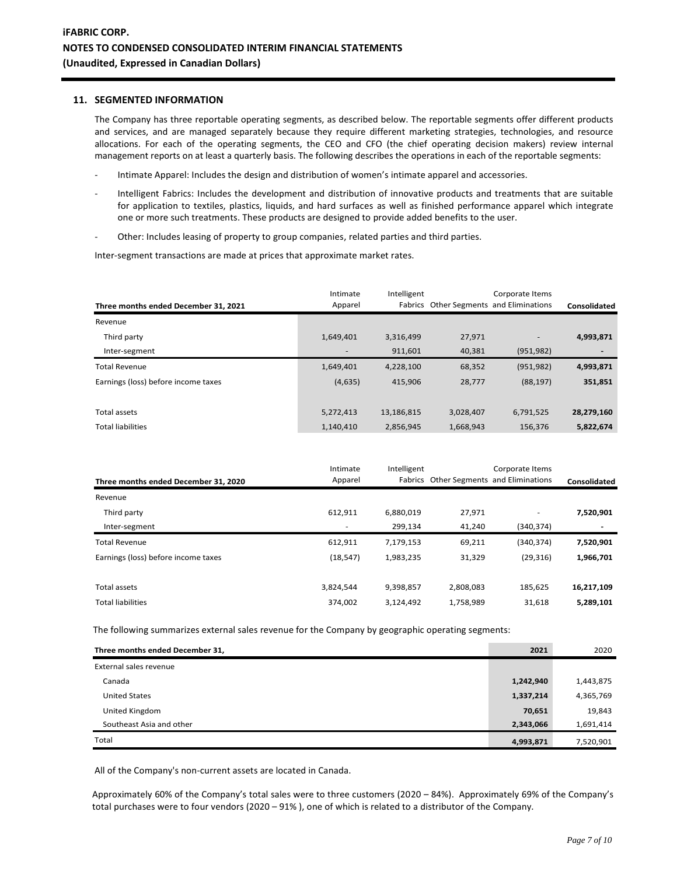#### **11. SEGMENTED INFORMATION**

The Company has three reportable operating segments, as described below. The reportable segments offer different products and services, and are managed separately because they require different marketing strategies, technologies, and resource allocations. For each of the operating segments, the CEO and CFO (the chief operating decision makers) review internal management reports on at least a quarterly basis. The following describes the operations in each of the reportable segments:

- Intimate Apparel: Includes the design and distribution of women's intimate apparel and accessories.
- Intelligent Fabrics: Includes the development and distribution of innovative products and treatments that are suitable for application to textiles, plastics, liquids, and hard surfaces as well as finished performance apparel which integrate one or more such treatments. These products are designed to provide added benefits to the user.
- Other: Includes leasing of property to group companies, related parties and third parties.

Inter-segment transactions are made at prices that approximate market rates.

| Three months ended December 31, 2021 | Intimate<br>Apparel | Intelligent |           | Corporate Items<br>Fabrics Other Segments and Eliminations | Consolidated |
|--------------------------------------|---------------------|-------------|-----------|------------------------------------------------------------|--------------|
| Revenue                              |                     |             |           |                                                            |              |
| Third party                          | 1,649,401           | 3,316,499   | 27,971    |                                                            | 4,993,871    |
| Inter-segment                        | ٠                   | 911.601     | 40,381    | (951, 982)                                                 |              |
| <b>Total Revenue</b>                 | 1,649,401           | 4,228,100   | 68,352    | (951, 982)                                                 | 4,993,871    |
| Earnings (loss) before income taxes  | (4,635)             | 415,906     | 28,777    | (88, 197)                                                  | 351,851      |
|                                      |                     |             |           |                                                            |              |
| Total assets                         | 5,272,413           | 13,186,815  | 3,028,407 | 6,791,525                                                  | 28,279,160   |
| <b>Total liabilities</b>             | 1,140,410           | 2,856,945   | 1,668,943 | 156,376                                                    | 5,822,674    |

|                                      | Intimate                 | Intelligent |           | Corporate Items                         |              |
|--------------------------------------|--------------------------|-------------|-----------|-----------------------------------------|--------------|
| Three months ended December 31, 2020 | Apparel                  |             |           | Fabrics Other Segments and Eliminations | Consolidated |
| Revenue                              |                          |             |           |                                         |              |
| Third party                          | 612,911                  | 6,880,019   | 27,971    | ٠                                       | 7,520,901    |
| Inter-segment                        | $\overline{\phantom{a}}$ | 299.134     | 41,240    | (340,374)                               |              |
| <b>Total Revenue</b>                 | 612,911                  | 7,179,153   | 69,211    | (340, 374)                              | 7,520,901    |
| Earnings (loss) before income taxes  | (18, 547)                | 1,983,235   | 31,329    | (29, 316)                               | 1,966,701    |
|                                      |                          |             |           |                                         |              |
| Total assets                         | 3,824,544                | 9,398,857   | 2,808,083 | 185.625                                 | 16,217,109   |
| <b>Total liabilities</b>             | 374.002                  | 3,124,492   | 1,758,989 | 31,618                                  | 5,289,101    |

The following summarizes external sales revenue for the Company by geographic operating segments:

| Three months ended December 31, | 2021      | 2020      |
|---------------------------------|-----------|-----------|
| External sales revenue          |           |           |
| Canada                          | 1,242,940 | 1,443,875 |
| <b>United States</b>            | 1,337,214 | 4,365,769 |
| United Kingdom                  | 70,651    | 19,843    |
| Southeast Asia and other        | 2,343,066 | 1,691,414 |
| Total                           | 4,993,871 | 7,520,901 |

All of the Company's non-current assets are located in Canada.

Approximately 60% of the Company's total sales were to three customers (2020 – 84%). Approximately 69% of the Company's total purchases were to four vendors (2020 – 91% ), one of which is related to a distributor of the Company.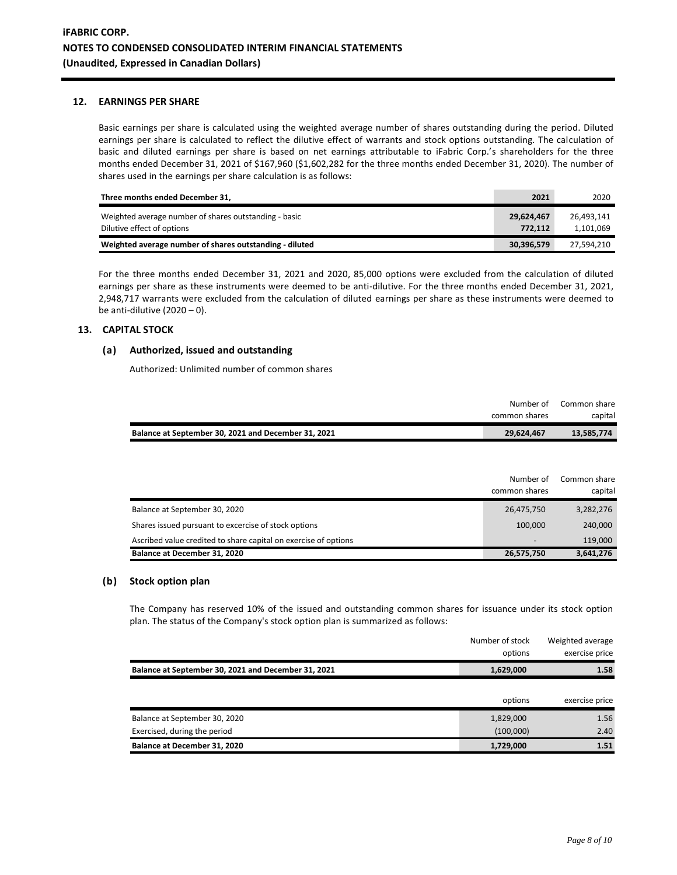#### **12. EARNINGS PER SHARE**

Basic earnings per share is calculated using the weighted average number of shares outstanding during the period. Diluted earnings per share is calculated to reflect the dilutive effect of warrants and stock options outstanding. The calculation of basic and diluted earnings per share is based on net earnings attributable to iFabric Corp.'s shareholders for the three months ended December 31, 2021 of \$167,960 (\$1,602,282 for the three months ended December 31, 2020). The number of shares used in the earnings per share calculation is as follows:

| Three months ended December 31.                                                     | 2021                  | 2020                    |
|-------------------------------------------------------------------------------------|-----------------------|-------------------------|
| Weighted average number of shares outstanding - basic<br>Dilutive effect of options | 29,624,467<br>772.112 | 26.493.141<br>1,101,069 |
| Weighted average number of shares outstanding - diluted                             | 30,396,579            | 27.594.210              |

For the three months ended December 31, 2021 and 2020, 85,000 options were excluded from the calculation of diluted earnings per share as these instruments were deemed to be anti-dilutive. For the three months ended December 31, 2021, 2,948,717 warrants were excluded from the calculation of diluted earnings per share as these instruments were deemed to be anti-dilutive  $(2020 - 0)$ .

## **13. CAPITAL STOCK**

## **(a) Authorized, issued and outstanding**

Authorized: Unlimited number of common shares

|                                                     | Number of     | Common share |
|-----------------------------------------------------|---------------|--------------|
|                                                     | common shares | capital      |
| Balance at September 30, 2021 and December 31, 2021 | 29,624,467    | 13,585,774   |

|                                                                 | Number of<br>common shares | Common share<br>capital |
|-----------------------------------------------------------------|----------------------------|-------------------------|
| Balance at September 30, 2020                                   | 26,475,750                 | 3,282,276               |
| Shares issued pursuant to excercise of stock options            | 100.000                    | 240,000                 |
| Ascribed value credited to share capital on exercise of options | $\overline{\phantom{0}}$   | 119,000                 |
| Balance at December 31, 2020                                    | 26,575,750                 | 3,641,276               |

#### **(b) Stock option plan**

The Company has reserved 10% of the issued and outstanding common shares for issuance under its stock option plan. The status of the Company's stock option plan is summarized as follows:

|                                                     | Number of stock<br>options | Weighted average<br>exercise price |
|-----------------------------------------------------|----------------------------|------------------------------------|
| Balance at September 30, 2021 and December 31, 2021 | 1,629,000                  | 1.58                               |
|                                                     | options                    | exercise price                     |
| Balance at September 30, 2020                       | 1,829,000                  | 1.56                               |
| Exercised, during the period                        | (100,000)                  | 2.40                               |
| Balance at December 31, 2020                        | 1,729,000                  | 1.51                               |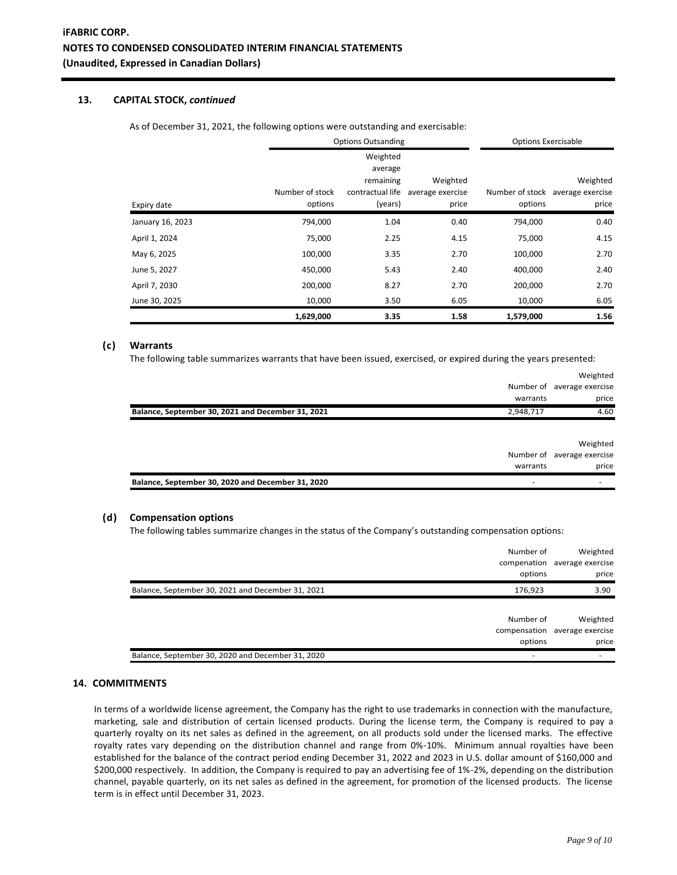## **13. CAPITAL STOCK,** *continued*

As of December 31, 2021, the following options were outstanding and exercisable:

|                  | <b>Options Outsanding</b> |                                  |                  | <b>Options Exercisable</b> |                                  |
|------------------|---------------------------|----------------------------------|------------------|----------------------------|----------------------------------|
|                  |                           | Weighted<br>average<br>remaining | Weighted         |                            | Weighted                         |
|                  | Number of stock           | contractual life                 | average exercise |                            | Number of stock average exercise |
| Expiry date      | options                   | (years)                          | price            | options                    | price                            |
| January 16, 2023 | 794,000                   | 1.04                             | 0.40             | 794,000                    | 0.40                             |
| April 1, 2024    | 75,000                    | 2.25                             | 4.15             | 75,000                     | 4.15                             |
| May 6, 2025      | 100,000                   | 3.35                             | 2.70             | 100,000                    | 2.70                             |
| June 5, 2027     | 450,000                   | 5.43                             | 2.40             | 400,000                    | 2.40                             |
| April 7, 2030    | 200,000                   | 8.27                             | 2.70             | 200,000                    | 2.70                             |
| June 30, 2025    | 10,000                    | 3.50                             | 6.05             | 10,000                     | 6.05                             |
|                  | 1,629,000                 | 3.35                             | 1.58             | 1,579,000                  | 1.56                             |

#### **(c) Warrants**

The following table summarizes warrants that have been issued, exercised, or expired during the years presented:

|                                                   | warrants  | Weighted<br>Number of average exercise<br>price |
|---------------------------------------------------|-----------|-------------------------------------------------|
| Balance, September 30, 2021 and December 31, 2021 | 2,948,717 | 4.60                                            |
|                                                   |           | Weighted                                        |
|                                                   |           | Number of average exercise                      |
|                                                   | warrants  | price                                           |
| Balance, September 30, 2020 and December 31, 2020 |           |                                                 |

#### **(d) Compensation options**

The following tables summarize changes in the status of the Company's outstanding compensation options:

|                                                   | Number of<br>compenation<br>options | Weighted<br>average exercise<br>price |
|---------------------------------------------------|-------------------------------------|---------------------------------------|
| Balance, September 30, 2021 and December 31, 2021 | 176,923                             | 3.90                                  |
|                                                   |                                     |                                       |
|                                                   | Number of                           | Weighted                              |
|                                                   | compensation                        | average exercise                      |
|                                                   | options                             | price                                 |
| Balance, September 30, 2020 and December 31, 2020 |                                     |                                       |

## **14. COMMITMENTS**

In terms of a worldwide license agreement, the Company has the right to use trademarks in connection with the manufacture, marketing, sale and distribution of certain licensed products. During the license term, the Company is required to pay a quarterly royalty on its net sales as defined in the agreement, on all products sold under the licensed marks. The effective royalty rates vary depending on the distribution channel and range from 0%-10%. Minimum annual royalties have been established for the balance of the contract period ending December 31, 2022 and 2023 in U.S. dollar amount of \$160,000 and \$200,000 respectively. In addition, the Company is required to pay an advertising fee of 1%-2%, depending on the distribution channel, payable quarterly, on its net sales as defined in the agreement, for promotion of the licensed products. The license term is in effect until December 31, 2023.